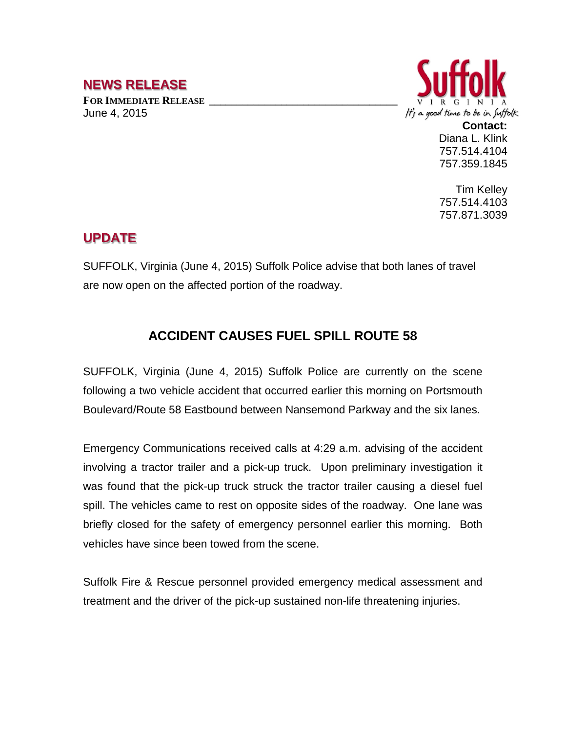## **NEWS RELEASE**

FOR **IMMEDIATE RELEASE** June 4, 2015



**Contact:** Diana L. Klink 757.514.4104 757.359.1845

Tim Kelley 757.514.4103 757.871.3039

## **UPDATE**

SUFFOLK, Virginia (June 4, 2015) Suffolk Police advise that both lanes of travel are now open on the affected portion of the roadway.

## **ACCIDENT CAUSES FUEL SPILL ROUTE 58**

SUFFOLK, Virginia (June 4, 2015) Suffolk Police are currently on the scene following a two vehicle accident that occurred earlier this morning on Portsmouth Boulevard/Route 58 Eastbound between Nansemond Parkway and the six lanes.

Emergency Communications received calls at 4:29 a.m. advising of the accident involving a tractor trailer and a pick-up truck. Upon preliminary investigation it was found that the pick-up truck struck the tractor trailer causing a diesel fuel spill. The vehicles came to rest on opposite sides of the roadway. One lane was briefly closed for the safety of emergency personnel earlier this morning. Both vehicles have since been towed from the scene.

Suffolk Fire & Rescue personnel provided emergency medical assessment and treatment and the driver of the pick-up sustained non-life threatening injuries.